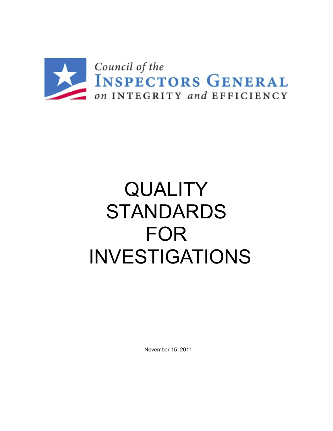

# **QUALITY** STANDARDS FOR INVESTIGATIONS

November 15, 2011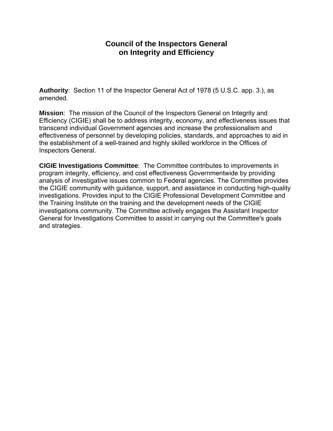## **Council of the Inspectors General on Integrity and Efficiency**

**Authority**: Section 11 of the Inspector General Act of 1978 (5 U.S.C. app. 3.), as amended.

**Mission**: The mission of the Council of the Inspectors General on Integrity and Efficiency (CIGIE) shall be to address integrity, economy, and effectiveness issues that transcend individual Government agencies and increase the professionalism and effectiveness of personnel by developing policies, standards, and approaches to aid in the establishment of a well-trained and highly skilled workforce in the Offices of Inspectors General.

**CIGIE Investigations Committee**: The Committee contributes to improvements in program integrity, efficiency, and cost effectiveness Governmentwide by providing analysis of investigative issues common to Federal agencies. The Committee provides the CIGIE community with guidance, support, and assistance in conducting high-quality investigations. Provides input to the CIGIE Professional Development Committee and the Training Institute on the training and the development needs of the CIGIE investigations community. The Committee actively engages the Assistant Inspector General for Investigations Committee to assist in carrying out the Committee's goals and strategies.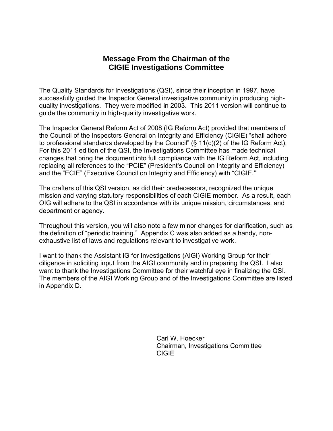## **Message From the Chairman of the CIGIE Investigations Committee**

The Quality Standards for Investigations (QSI), since their inception in 1997, have successfully guided the Inspector General investigative community in producing highquality investigations. They were modified in 2003. This 2011 version will continue to guide the community in high-quality investigative work.

The Inspector General Reform Act of 2008 (IG Reform Act) provided that members of the Council of the Inspectors General on Integrity and Efficiency (CIGIE) "shall adhere to professional standards developed by the Council" (§ 11(c)(2) of the IG Reform Act). For this 2011 edition of the QSI, the Investigations Committee has made technical changes that bring the document into full compliance with the IG Reform Act, including replacing all references to the "PCIE" (President's Council on Integrity and Efficiency) and the "ECIE" (Executive Council on Integrity and Efficiency) with "CIGIE."

The crafters of this QSI version, as did their predecessors, recognized the unique mission and varying statutory responsibilities of each CIGIE member. As a result, each OIG will adhere to the QSI in accordance with its unique mission, circumstances, and department or agency.

Throughout this version, you will also note a few minor changes for clarification, such as the definition of "periodic training." Appendix C was also added as a handy, nonexhaustive list of laws and regulations relevant to investigative work.

I want to thank the Assistant IG for Investigations (AIGI) Working Group for their diligence in soliciting input from the AIGI community and in preparing the QSI. I also want to thank the Investigations Committee for their watchful eye in finalizing the QSI. The members of the AIGI Working Group and of the Investigations Committee are listed in Appendix D.

> Carl W. Hoecker Chairman, Investigations Committee CIGIE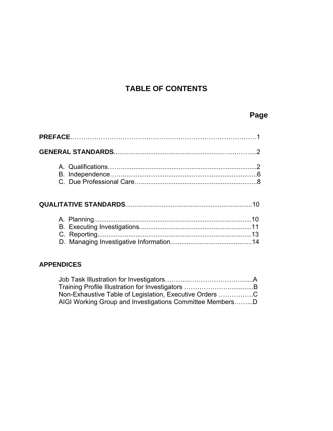## **TABLE OF CONTENTS**

## **Page**

## **QUALITATIVE STANDARDS**......................................................................10

## **APPENDICES**

| Non-Exhaustive Table of Legislation, Executive Orders C  |  |
|----------------------------------------------------------|--|
| AIGI Working Group and Investigations Committee MembersD |  |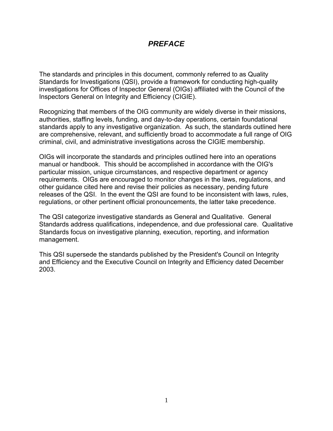## *PREFACE*

The standards and principles in this document, commonly referred to as Quality Standards for Investigations (QSI), provide a framework for conducting high-quality investigations for Offices of Inspector General (OIGs) affiliated with the Council of the Inspectors General on Integrity and Efficiency (CIGIE).

Recognizing that members of the OIG community are widely diverse in their missions, authorities, staffing levels, funding, and day-to-day operations, certain foundational standards apply to any investigative organization. As such, the standards outlined here are comprehensive, relevant, and sufficiently broad to accommodate a full range of OIG criminal, civil, and administrative investigations across the CIGIE membership.

OIGs will incorporate the standards and principles outlined here into an operations manual or handbook. This should be accomplished in accordance with the OIG's particular mission, unique circumstances, and respective department or agency requirements. OIGs are encouraged to monitor changes in the laws, regulations, and other guidance cited here and revise their policies as necessary, pending future releases of the QSI. In the event the QSI are found to be inconsistent with laws, rules, regulations, or other pertinent official pronouncements, the latter take precedence.

The QSI categorize investigative standards as General and Qualitative. General Standards address qualifications, independence, and due professional care. Qualitative Standards focus on investigative planning, execution, reporting, and information management.

This QSI supersede the standards published by the President's Council on Integrity and Efficiency and the Executive Council on Integrity and Efficiency dated December 2003.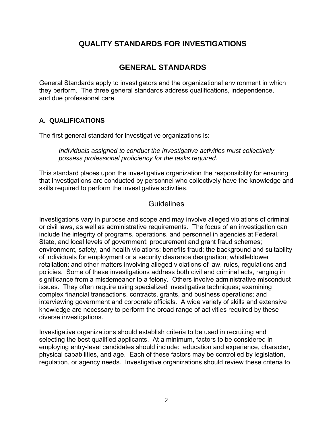## **QUALITY STANDARDS FOR INVESTIGATIONS**

## **GENERAL STANDARDS**

General Standards apply to investigators and the organizational environment in which they perform. The three general standards address qualifications, independence, and due professional care.

## **A. QUALIFICATIONS**

The first general standard for investigative organizations is:

*Individuals assigned to conduct the investigative activities must collectively possess professional proficiency for the tasks required.* 

This standard places upon the investigative organization the responsibility for ensuring that investigations are conducted by personnel who collectively have the knowledge and skills required to perform the investigative activities.

## **Guidelines**

Investigations vary in purpose and scope and may involve alleged violations of criminal or civil laws, as well as administrative requirements. The focus of an investigation can include the integrity of programs, operations, and personnel in agencies at Federal, State, and local levels of government; procurement and grant fraud schemes; environment, safety, and health violations; benefits fraud; the background and suitability of individuals for employment or a security clearance designation; whistleblower retaliation; and other matters involving alleged violations of law, rules, regulations and policies. Some of these investigations address both civil and criminal acts, ranging in significance from a misdemeanor to a felony. Others involve administrative misconduct issues. They often require using specialized investigative techniques; examining complex financial transactions, contracts, grants, and business operations; and interviewing government and corporate officials. A wide variety of skills and extensive knowledge are necessary to perform the broad range of activities required by these diverse investigations.

Investigative organizations should establish criteria to be used in recruiting and selecting the best qualified applicants. At a minimum, factors to be considered in employing entry-level candidates should include: education and experience, character, physical capabilities, and age. Each of these factors may be controlled by legislation, regulation, or agency needs. Investigative organizations should review these criteria to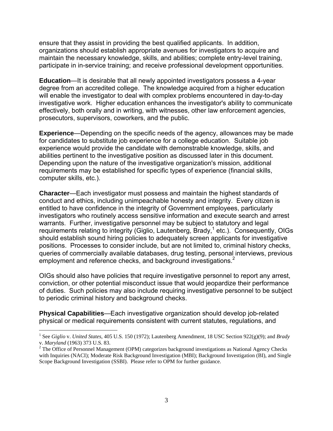ensure that they assist in providing the best qualified applicants. In addition, organizations should establish appropriate avenues for investigators to acquire and maintain the necessary knowledge, skills, and abilities; complete entry-level training, participate in in-service training; and receive professional development opportunities.

**Education**—It is desirable that all newly appointed investigators possess a 4-year degree from an accredited college. The knowledge acquired from a higher education will enable the investigator to deal with complex problems encountered in day-to-day investigative work. Higher education enhances the investigator's ability to communicate effectively, both orally and in writing, with witnesses, other law enforcement agencies, prosecutors, supervisors, coworkers, and the public.

**Experience**—Depending on the specific needs of the agency, allowances may be made for candidates to substitute job experience for a college education. Suitable job experience would provide the candidate with demonstrable knowledge, skills, and abilities pertinent to the investigative position as discussed later in this document. Depending upon the nature of the investigative organization's mission, additional requirements may be established for specific types of experience (financial skills, computer skills, etc.).

**Character**—Each investigator must possess and maintain the highest standards of conduct and ethics, including unimpeachable honesty and integrity. Every citizen is entitled to have confidence in the integrity of Government employees, particularly investigators who routinely access sensitive information and execute search and arrest warrants. Further, investigative personnel may be subject to statutory and legal requirements relating to integrity (Giglio, Lautenberg, Brady,<sup>1</sup> etc.). Consequently, OIGs should establish sound hiring policies to adequately screen applicants for investigative positions. Processes to consider include, but are not limited to, criminal history checks, queries of commercially available databases, drug testing, personal interviews, previous employment and reference checks, and background investigations.<sup>2</sup>

OIGs should also have policies that require investigative personnel to report any arrest, conviction, or other potential misconduct issue that would jeopardize their performance of duties. Such policies may also include requiring investigative personnel to be subject to periodic criminal history and background checks.

**Physical Capabilities**—Each investigative organization should develop job-related physical or medical requirements consistent with current statutes, regulations, and

 $\overline{a}$ 

<sup>1</sup> See *Giglio* v. *United States*, 405 U.S. 150 (1972); Lautenberg Amendment, 18 USC Section 922(g)(9); and *Brady* v. *Maryland* (1963) 373 U.S. 83. 2

<sup>&</sup>lt;sup>2</sup> The Office of Personnel Management (OPM) categorizes background investigations as National Agency Checks with Inquiries (NACI); Moderate Risk Background Investigation (MBI); Background Investigation (BI), and Single Scope Background Investigation (SSBI). Please refer to OPM for further guidance.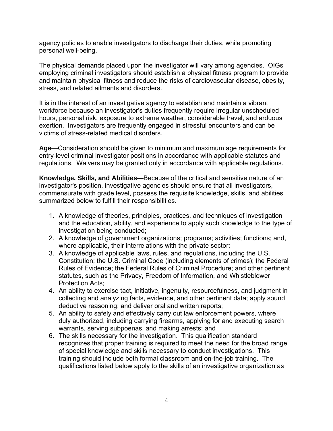agency policies to enable investigators to discharge their duties, while promoting personal well-being.

The physical demands placed upon the investigator will vary among agencies. OIGs employing criminal investigators should establish a physical fitness program to provide and maintain physical fitness and reduce the risks of cardiovascular disease, obesity, stress, and related ailments and disorders.

It is in the interest of an investigative agency to establish and maintain a vibrant workforce because an investigator's duties frequently require irregular unscheduled hours, personal risk, exposure to extreme weather, considerable travel, and arduous exertion. Investigators are frequently engaged in stressful encounters and can be victims of stress-related medical disorders.

**Age**—Consideration should be given to minimum and maximum age requirements for entry-level criminal investigator positions in accordance with applicable statutes and regulations. Waivers may be granted only in accordance with applicable regulations.

**Knowledge, Skills, and Abilities**—Because of the critical and sensitive nature of an investigator's position, investigative agencies should ensure that all investigators, commensurate with grade level, possess the requisite knowledge, skills, and abilities summarized below to fulfill their responsibilities.

- 1. A knowledge of theories, principles, practices, and techniques of investigation and the education, ability, and experience to apply such knowledge to the type of investigation being conducted;
- 2. A knowledge of government organizations; programs; activities; functions; and, where applicable, their interrelations with the private sector;
- 3. A knowledge of applicable laws, rules, and regulations, including the U.S. Constitution; the U.S. Criminal Code (including elements of crimes); the Federal Rules of Evidence; the Federal Rules of Criminal Procedure; and other pertinent statutes, such as the Privacy, Freedom of Information, and Whistleblower Protection Acts;
- 4. An ability to exercise tact, initiative, ingenuity, resourcefulness, and judgment in collecting and analyzing facts, evidence, and other pertinent data; apply sound deductive reasoning; and deliver oral and written reports;
- 5. An ability to safely and effectively carry out law enforcement powers, where duly authorized, including carrying firearms, applying for and executing search warrants, serving subpoenas, and making arrests; and
- 6. The skills necessary for the investigation. This qualification standard recognizes that proper training is required to meet the need for the broad range of special knowledge and skills necessary to conduct investigations. This training should include both formal classroom and on-the-job training. The qualifications listed below apply to the skills of an investigative organization as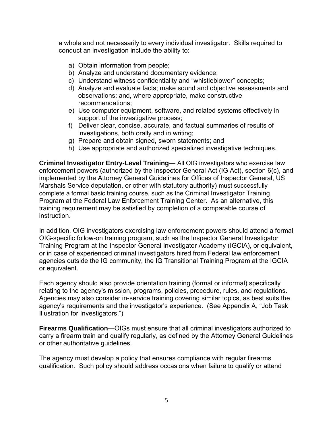a whole and not necessarily to every individual investigator. Skills required to conduct an investigation include the ability to:

- a) Obtain information from people;
- b) Analyze and understand documentary evidence;
- c) Understand witness confidentiality and "whistleblower" concepts;
- d) Analyze and evaluate facts; make sound and objective assessments and observations; and, where appropriate, make constructive recommendations;
- e) Use computer equipment, software, and related systems effectively in support of the investigative process;
- f) Deliver clear, concise, accurate, and factual summaries of results of investigations, both orally and in writing;
- g) Prepare and obtain signed, sworn statements; and
- h) Use appropriate and authorized specialized investigative techniques.

**Criminal Investigator Entry-Level Training**— All OIG investigators who exercise law enforcement powers (authorized by the Inspector General Act (IG Act), section 6(c), and implemented by the Attorney General Guidelines for Offices of Inspector General, US Marshals Service deputation, or other with statutory authority) must successfully complete a formal basic training course, such as the Criminal Investigator Training Program at the Federal Law Enforcement Training Center. As an alternative, this training requirement may be satisfied by completion of a comparable course of instruction.

In addition, OIG investigators exercising law enforcement powers should attend a formal OIG-specific follow-on training program, such as the Inspector General Investigator Training Program at the Inspector General Investigator Academy (IGCIA), or equivalent, or in case of experienced criminal investigators hired from Federal law enforcement agencies outside the IG community, the IG Transitional Training Program at the IGCIA or equivalent.

Each agency should also provide orientation training (formal or informal) specifically relating to the agency's mission, programs, policies, procedure, rules, and regulations. Agencies may also consider in-service training covering similar topics, as best suits the agency's requirements and the investigator's experience. (See Appendix A, "Job Task Illustration for Investigators.")

**Firearms Qualification**—OIGs must ensure that all criminal investigators authorized to carry a firearm train and qualify regularly, as defined by the Attorney General Guidelines or other authoritative guidelines.

The agency must develop a policy that ensures compliance with regular firearms qualification. Such policy should address occasions when failure to qualify or attend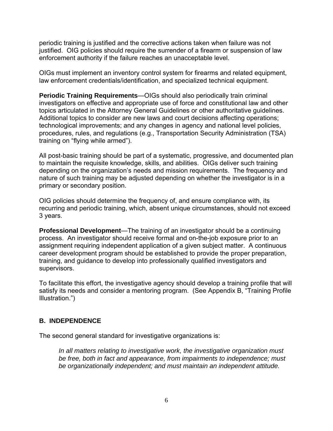periodic training is justified and the corrective actions taken when failure was not justified. OIG policies should require the surrender of a firearm or suspension of law enforcement authority if the failure reaches an unacceptable level.

OIGs must implement an inventory control system for firearms and related equipment, law enforcement credentials/identification, and specialized technical equipment.

**Periodic Training Requirements**—OIGs should also periodically train criminal investigators on effective and appropriate use of force and constitutional law and other topics articulated in the Attorney General Guidelines or other authoritative guidelines. Additional topics to consider are new laws and court decisions affecting operations; technological improvements; and any changes in agency and national level policies, procedures, rules, and regulations (e.g., Transportation Security Administration (TSA) training on "flying while armed").

All post-basic training should be part of a systematic, progressive, and documented plan to maintain the requisite knowledge, skills, and abilities. OIGs deliver such training depending on the organization's needs and mission requirements. The frequency and nature of such training may be adjusted depending on whether the investigator is in a primary or secondary position.

OIG policies should determine the frequency of, and ensure compliance with, its recurring and periodic training, which, absent unique circumstances, should not exceed 3 years.

**Professional Development**—The training of an investigator should be a continuing process. An investigator should receive formal and on-the-job exposure prior to an assignment requiring independent application of a given subject matter. A continuous career development program should be established to provide the proper preparation, training, and guidance to develop into professionally qualified investigators and supervisors.

To facilitate this effort, the investigative agency should develop a training profile that will satisfy its needs and consider a mentoring program. (See Appendix B, "Training Profile Illustration.")

## **B. INDEPENDENCE**

The second general standard for investigative organizations is:

*In all matters relating to investigative work, the investigative organization must be free, both in fact and appearance, from impairments to independence; must be organizationally independent; and must maintain an independent attitude.*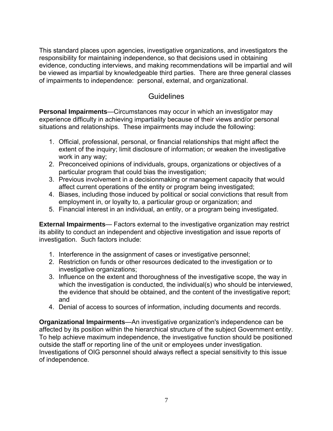This standard places upon agencies, investigative organizations, and investigators the responsibility for maintaining independence, so that decisions used in obtaining evidence, conducting interviews, and making recommendations will be impartial and will be viewed as impartial by knowledgeable third parties. There are three general classes of impairments to independence: personal, external, and organizational.

## **Guidelines**

**Personal Impairments**—Circumstances may occur in which an investigator may experience difficulty in achieving impartiality because of their views and/or personal situations and relationships. These impairments may include the following:

- 1. Official, professional, personal, or financial relationships that might affect the extent of the inquiry; limit disclosure of information; or weaken the investigative work in any way;
- 2. Preconceived opinions of individuals, groups, organizations or objectives of a particular program that could bias the investigation;
- 3. Previous involvement in a decisionmaking or management capacity that would affect current operations of the entity or program being investigated;
- 4. Biases, including those induced by political or social convictions that result from employment in, or loyalty to, a particular group or organization; and
- 5. Financial interest in an individual, an entity, or a program being investigated.

**External Impairments**— Factors external to the investigative organization may restrict its ability to conduct an independent and objective investigation and issue reports of investigation. Such factors include:

- 1. Interference in the assignment of cases or investigative personnel;
- 2. Restriction on funds or other resources dedicated to the investigation or to investigative organizations;
- 3. Influence on the extent and thoroughness of the investigative scope, the way in which the investigation is conducted, the individual(s) who should be interviewed, the evidence that should be obtained, and the content of the investigative report; and
- 4. Denial of access to sources of information, including documents and records.

**Organizational Impairments**—An investigative organization's independence can be affected by its position within the hierarchical structure of the subject Government entity. To help achieve maximum independence, the investigative function should be positioned outside the staff or reporting line of the unit or employees under investigation. Investigations of OIG personnel should always reflect a special sensitivity to this issue of independence.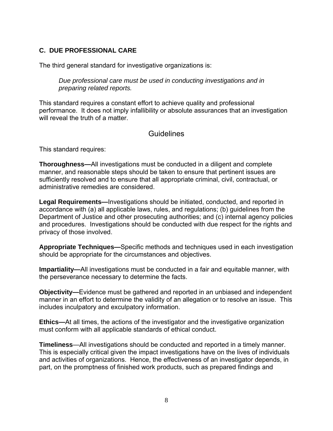## **C. DUE PROFESSIONAL CARE**

The third general standard for investigative organizations is:

*Due professional care must be used in conducting investigations and in preparing related reports.* 

This standard requires a constant effort to achieve quality and professional performance. It does not imply infallibility or absolute assurances that an investigation will reveal the truth of a matter.

## Guidelines

This standard requires:

**Thoroughness—**All investigations must be conducted in a diligent and complete manner, and reasonable steps should be taken to ensure that pertinent issues are sufficiently resolved and to ensure that all appropriate criminal, civil, contractual, or administrative remedies are considered.

**Legal Requirements—**Investigations should be initiated, conducted, and reported in accordance with (a) all applicable laws, rules, and regulations; (b) guidelines from the Department of Justice and other prosecuting authorities; and (c) internal agency policies and procedures. Investigations should be conducted with due respect for the rights and privacy of those involved.

**Appropriate Techniques—**Specific methods and techniques used in each investigation should be appropriate for the circumstances and objectives.

**Impartiality—**All investigations must be conducted in a fair and equitable manner, with the perseverance necessary to determine the facts.

**Objectivity—**Evidence must be gathered and reported in an unbiased and independent manner in an effort to determine the validity of an allegation or to resolve an issue. This includes inculpatory and exculpatory information.

**Ethics—**At all times, the actions of the investigator and the investigative organization must conform with all applicable standards of ethical conduct.

**Timeliness**—All investigations should be conducted and reported in a timely manner. This is especially critical given the impact investigations have on the lives of individuals and activities of organizations. Hence, the effectiveness of an investigator depends, in part, on the promptness of finished work products, such as prepared findings and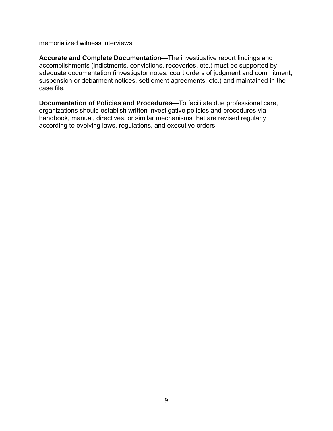memorialized witness interviews.

**Accurate and Complete Documentation—**The investigative report findings and accomplishments (indictments, convictions, recoveries, etc.) must be supported by adequate documentation (investigator notes, court orders of judgment and commitment, suspension or debarment notices, settlement agreements, etc.) and maintained in the case file.

**Documentation of Policies and Procedures—**To facilitate due professional care, organizations should establish written investigative policies and procedures via handbook, manual, directives, or similar mechanisms that are revised regularly according to evolving laws, regulations, and executive orders.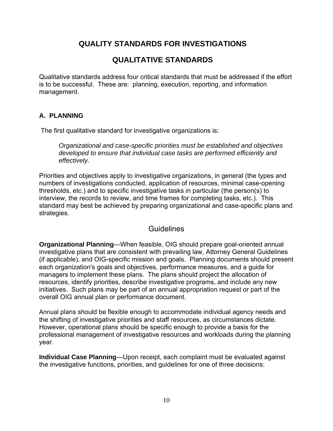## **QUALITY STANDARDS FOR INVESTIGATIONS**

## **QUALITATIVE STANDARDS**

Qualitative standards address four critical standards that must be addressed if the effort is to be successful. These are: planning, execution, reporting, and information management.

## **A. PLANNING**

The first qualitative standard for investigative organizations is:

*Organizational and case-specific priorities must be established and objectives developed to ensure that individual case tasks are performed efficiently and effectively.* 

Priorities and objectives apply to investigative organizations, in general (the types and numbers of investigations conducted, application of resources, minimal case-opening thresholds, etc.) and to specific investigative tasks in particular (the person(s) to interview, the records to review, and time frames for completing tasks, etc.). This standard may best be achieved by preparing organizational and case-specific plans and strategies.

## **Guidelines**

**Organizational Planning**—When feasible, OIG should prepare goal-oriented annual investigative plans that are consistent with prevailing law, Attorney General Guidelines (if applicable), and OIG-specific mission and goals. Planning documents should present each organization's goals and objectives, performance measures, and a guide for managers to implement these plans. The plans should project the allocation of resources, identify priorities, describe investigative programs, and include any new initiatives. Such plans may be part of an annual appropriation request or part of the overall OIG annual plan or performance document.

Annual plans should be flexible enough to accommodate individual agency needs and the shifting of investigative priorities and staff resources, as circumstances dictate. However, operational plans should be specific enough to provide a basis for the professional management of investigative resources and workloads during the planning year.

**Individual Case Planning**—Upon receipt, each complaint must be evaluated against the investigative functions, priorities, and guidelines for one of three decisions: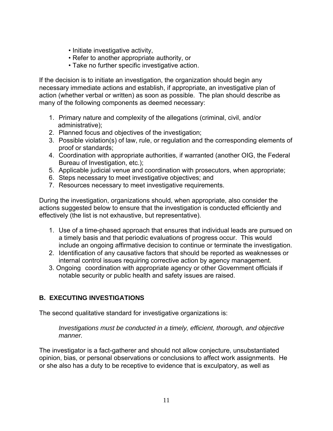- Initiate investigative activity,
- Refer to another appropriate authority, or
- Take no further specific investigative action.

If the decision is to initiate an investigation, the organization should begin any necessary immediate actions and establish, if appropriate, an investigative plan of action (whether verbal or written) as soon as possible. The plan should describe as many of the following components as deemed necessary:

- 1. Primary nature and complexity of the allegations (criminal, civil, and/or administrative);
- 2. Planned focus and objectives of the investigation;
- 3. Possible violation(s) of law, rule, or regulation and the corresponding elements of proof or standards;
- 4. Coordination with appropriate authorities, if warranted (another OIG, the Federal Bureau of Investigation, etc.);
- 5. Applicable judicial venue and coordination with prosecutors, when appropriate;
- 6. Steps necessary to meet investigative objectives; and
- 7. Resources necessary to meet investigative requirements.

During the investigation, organizations should, when appropriate, also consider the actions suggested below to ensure that the investigation is conducted efficiently and effectively (the list is not exhaustive, but representative).

- 1. Use of a time-phased approach that ensures that individual leads are pursued on a timely basis and that periodic evaluations of progress occur. This would include an ongoing affirmative decision to continue or terminate the investigation.
- 2. Identification of any causative factors that should be reported as weaknesses or internal control issues requiring corrective action by agency management.
- 3. Ongoing coordination with appropriate agency or other Government officials if notable security or public health and safety issues are raised.

## **B. EXECUTING INVESTIGATIONS**

The second qualitative standard for investigative organizations is:

*Investigations must be conducted in a timely, efficient, thorough, and objective manner.* 

The investigator is a fact-gatherer and should not allow conjecture, unsubstantiated opinion, bias, or personal observations or conclusions to affect work assignments. He or she also has a duty to be receptive to evidence that is exculpatory, as well as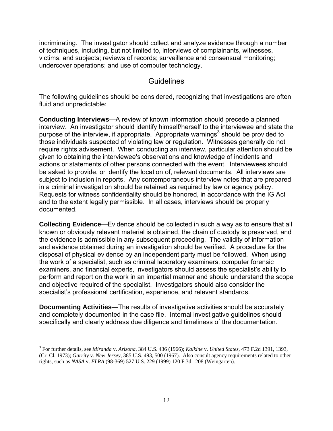incriminating. The investigator should collect and analyze evidence through a number of techniques, including, but not limited to, interviews of complainants, witnesses, victims, and subjects; reviews of records; surveillance and consensual monitoring; undercover operations; and use of computer technology.

## **Guidelines**

The following guidelines should be considered, recognizing that investigations are often fluid and unpredictable:

**Conducting Interviews**—A review of known information should precede a planned interview. An investigator should identify himself/herself to the interviewee and state the purpose of the interview, if appropriate. Appropriate warnings<sup>3</sup> should be provided to those individuals suspected of violating law or regulation. Witnesses generally do not require rights advisement. When conducting an interview, particular attention should be given to obtaining the interviewee's observations and knowledge of incidents and actions or statements of other persons connected with the event. Interviewees should be asked to provide, or identify the location of, relevant documents. All interviews are subject to inclusion in reports. Any contemporaneous interview notes that are prepared in a criminal investigation should be retained as required by law or agency policy. Requests for witness confidentiality should be honored, in accordance with the IG Act and to the extent legally permissible. In all cases, interviews should be properly documented.

**Collecting Evidence**—Evidence should be collected in such a way as to ensure that all known or obviously relevant material is obtained, the chain of custody is preserved, and the evidence is admissible in any subsequent proceeding. The validity of information and evidence obtained during an investigation should be verified. A procedure for the disposal of physical evidence by an independent party must be followed. When using the work of a specialist, such as criminal laboratory examiners, computer forensic examiners, and financial experts, investigators should assess the specialist's ability to perform and report on the work in an impartial manner and should understand the scope and objective required of the specialist. Investigators should also consider the specialist's professional certification, experience, and relevant standards.

**Documenting Activities**—The results of investigative activities should be accurately and completely documented in the case file. Internal investigative guidelines should specifically and clearly address due diligence and timeliness of the documentation.

 $\overline{a}$ 

<sup>3</sup> For further details, see *Miranda* v. *Arizona*, 384 U.S. 436 (1966); *Kalkine* v. *United States*, 473 F.2d 1391, 1393, (Cr. Cl. 1973); *Garrity* v. *New Jersey*, 385 U.S. 493, 500 (1967). Also consult agency requirements related to other rights, such as *NASA* v. *FLRA* (98-369) 527 U.S. 229 (1999) 120 F.3d 1208 (Weingarten).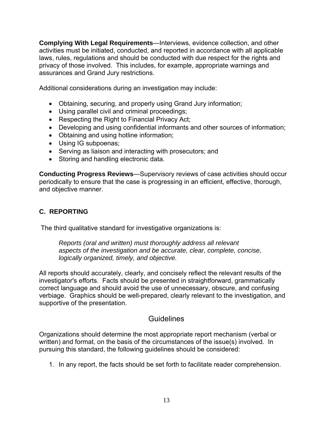**Complying With Legal Requirements**—Interviews, evidence collection, and other activities must be initiated, conducted, and reported in accordance with all applicable laws, rules, regulations and should be conducted with due respect for the rights and privacy of those involved. This includes, for example, appropriate warnings and assurances and Grand Jury restrictions.

Additional considerations during an investigation may include:

- Obtaining, securing, and properly using Grand Jury information;
- Using parallel civil and criminal proceedings;
- Respecting the Right to Financial Privacy Act;
- Developing and using confidential informants and other sources of information;
- Obtaining and using hotline information;
- Using IG subpoenas;
- Serving as liaison and interacting with prosecutors; and
- Storing and handling electronic data.

**Conducting Progress Reviews**—Supervisory reviews of case activities should occur periodically to ensure that the case is progressing in an efficient, effective, thorough, and objective manner.

## **C. REPORTING**

The third qualitative standard for investigative organizations is:

*Reports (oral and written) must thoroughly address all relevant aspects of the investigation and be accurate, clear, complete, concise, logically organized, timely, and objective.* 

All reports should accurately, clearly, and concisely reflect the relevant results of the investigator's efforts. Facts should be presented in straightforward, grammatically correct language and should avoid the use of unnecessary, obscure, and confusing verbiage. Graphics should be well-prepared, clearly relevant to the investigation, and supportive of the presentation.

## Guidelines

Organizations should determine the most appropriate report mechanism (verbal or written) and format, on the basis of the circumstances of the issue(s) involved. In pursuing this standard, the following guidelines should be considered:

1. In any report, the facts should be set forth to facilitate reader comprehension.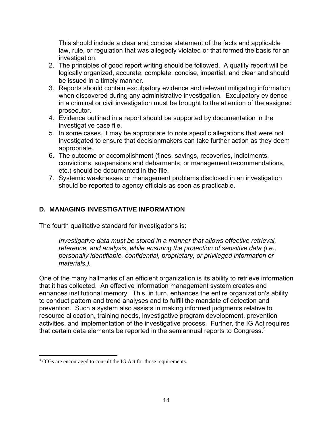This should include a clear and concise statement of the facts and applicable law, rule, or regulation that was allegedly violated or that formed the basis for an investigation.

- 2. The principles of good report writing should be followed. A quality report will be logically organized, accurate, complete, concise, impartial, and clear and should be issued in a timely manner.
- 3. Reports should contain exculpatory evidence and relevant mitigating information when discovered during any administrative investigation. Exculpatory evidence in a criminal or civil investigation must be brought to the attention of the assigned prosecutor.
- 4. Evidence outlined in a report should be supported by documentation in the investigative case file.
- 5. In some cases, it may be appropriate to note specific allegations that were not investigated to ensure that decisionmakers can take further action as they deem appropriate.
- 6. The outcome or accomplishment (fines, savings, recoveries, indictments, convictions, suspensions and debarments, or management recommendations, etc.) should be documented in the file.
- 7. Systemic weaknesses or management problems disclosed in an investigation should be reported to agency officials as soon as practicable.

## **D. MANAGING INVESTIGATIVE INFORMATION**

The fourth qualitative standard for investigations is:

*Investigative data must be stored in a manner that allows effective retrieval. reference, and analysis, while ensuring the protection of sensitive data (i.e., personally identifiable, confidential, proprietary, or privileged information or materials.).* 

One of the many hallmarks of an efficient organization is its ability to retrieve information that it has collected. An effective information management system creates and enhances institutional memory. This, in turn, enhances the entire organization's ability to conduct pattern and trend analyses and to fulfill the mandate of detection and prevention. Such a system also assists in making informed judgments relative to resource allocation, training needs, investigative program development, prevention activities, and implementation of the investigative process. Further, the IG Act requires that certain data elements be reported in the semiannual reports to Congress.<sup>4</sup>

 $\overline{a}$ <sup>4</sup> OIGs are encouraged to consult the IG Act for those requirements.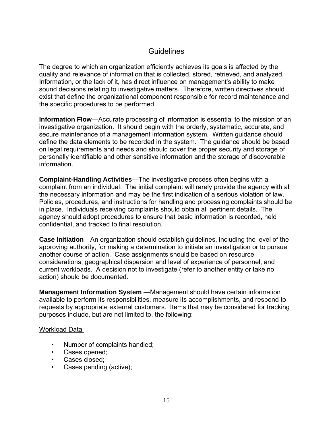## **Guidelines**

The degree to which an organization efficiently achieves its goals is affected by the quality and relevance of information that is collected, stored, retrieved, and analyzed. Information, or the lack of it, has direct influence on management's ability to make sound decisions relating to investigative matters. Therefore, written directives should exist that define the organizational component responsible for record maintenance and the specific procedures to be performed.

**Information Flow**—Accurate processing of information is essential to the mission of an investigative organization. It should begin with the orderly, systematic, accurate, and secure maintenance of a management information system. Written guidance should define the data elements to be recorded in the system. The guidance should be based on legal requirements and needs and should cover the proper security and storage of personally identifiable and other sensitive information and the storage of discoverable information.

**Complaint-Handling Activities**—The investigative process often begins with a complaint from an individual. The initial complaint will rarely provide the agency with all the necessary information and may be the first indication of a serious violation of law. Policies, procedures, and instructions for handling and processing complaints should be in place. Individuals receiving complaints should obtain all pertinent details. The agency should adopt procedures to ensure that basic information is recorded, held confidential, and tracked to final resolution.

**Case Initiation**—An organization should establish guidelines, including the level of the approving authority, for making a determination to initiate an investigation or to pursue another course of action. Case assignments should be based on resource considerations, geographical dispersion and level of experience of personnel, and current workloads. A decision not to investigate (refer to another entity or take no action) should be documented.

**Management Information System** —Management should have certain information available to perform its responsibilities, measure its accomplishments, and respond to requests by appropriate external customers. Items that may be considered for tracking purposes include, but are not limited to, the following:

#### Workload Data

- Number of complaints handled;
- Cases opened;
- Cases closed;
- Cases pending (active);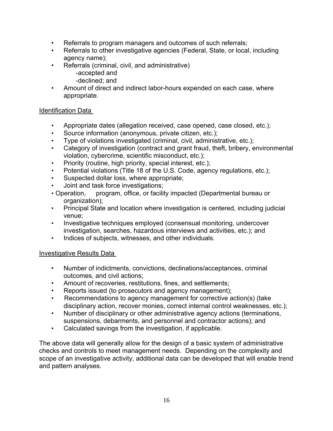- Referrals to program managers and outcomes of such referrals;
- Referrals to other investigative agencies (Federal, State, or local, including agency name);
- Referrals (criminal, civil, and administrative)
	- -accepted and
	- -declined; and
- Amount of direct and indirect labor-hours expended on each case, where appropriate.

## Identification Data

- Appropriate dates (allegation received, case opened, case closed, etc.);
- Source information (anonymous, private citizen, etc.);
- Type of violations investigated (criminal, civil, administrative, etc.);
- Category of investigation (contract and grant fraud, theft, bribery, environmental violation, cybercrime, scientific misconduct, etc.);
- Priority (routine, high priority, special interest, etc.);
- Potential violations (Title 18 of the U.S. Code, agency regulations, etc.);
- Suspected dollar loss, where appropriate;
- Joint and task force investigations;
- Operation, program, office, or facility impacted (Departmental bureau or organization);
- Principal State and location where investigation is centered, including judicial venue;
- Investigative techniques employed (consensual monitoring, undercover investigation, searches, hazardous interviews and activities, etc.); and
- Indices of subjects, witnesses, and other individuals.

## Investigative Results Data

- Number of indictments, convictions, declinations/acceptances, criminal outcomes, and civil actions;
- Amount of recoveries, restitutions, fines, and settlements;
- Reports issued (to prosecutors and agency management);
- Recommendations to agency management for corrective action(s) (take disciplinary action, recover monies, correct internal control weaknesses, etc.);
- Number of disciplinary or other administrative agency actions (terminations, suspensions, debarments, and personnel and contractor actions); and
- Calculated savings from the investigation, if applicable.

The above data will generally allow for the design of a basic system of administrative checks and controls to meet management needs. Depending on the complexity and scope of an investigative activity, additional data can be developed that will enable trend and pattern analyses.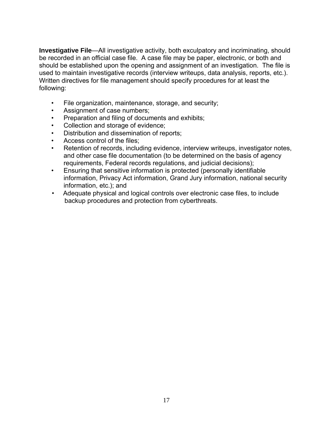**Investigative File—All investigative activity, both exculpatory and incriminating, should** be recorded in an official case file. A case file may be paper, electronic, or both and should be established upon the opening and assignment of an investigation. The file is used to maintain investigative records (interview writeups, data analysis, reports, etc.). Written directives for file management should specify procedures for at least the following:

- File organization, maintenance, storage, and security;
- Assignment of case numbers;
- Preparation and filing of documents and exhibits;
- Collection and storage of evidence;
- Distribution and dissemination of reports;
- Access control of the files:
- Retention of records, including evidence, interview writeups, investigator notes, and other case file documentation (to be determined on the basis of agency requirements, Federal records regulations, and judicial decisions);
- Ensuring that sensitive information is protected (personally identifiable information, Privacy Act information, Grand Jury information, national security information, etc.); and
- Adequate physical and logical controls over electronic case files, to include backup procedures and protection from cyberthreats.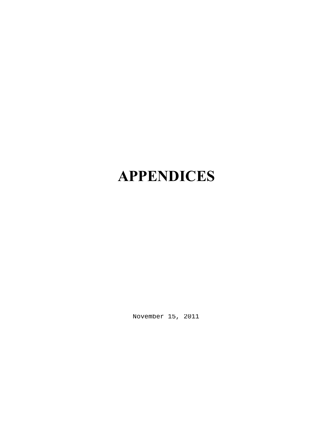## **APPENDICES**

November 15, 2011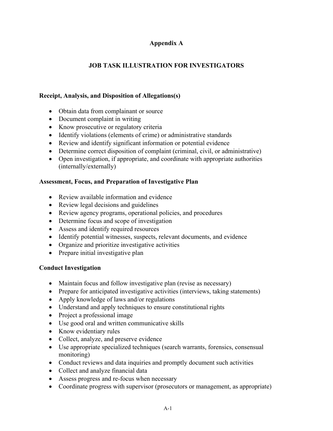## **Appendix A**

## **JOB TASK ILLUSTRATION FOR INVESTIGATORS**

#### **Receipt, Analysis, and Disposition of Allegations(s)**

- Obtain data from complainant or source
- Document complaint in writing
- Know prosecutive or regulatory criteria
- Identify violations (elements of crime) or administrative standards
- Review and identify significant information or potential evidence
- Determine correct disposition of complaint (criminal, civil, or administrative)
- Open investigation, if appropriate, and coordinate with appropriate authorities (internally/externally)

#### **Assessment, Focus, and Preparation of Investigative Plan**

- $\bullet$  Review available information and evidence
- Review legal decisions and guidelines
- Review agency programs, operational policies, and procedures
- Determine focus and scope of investigation
- Assess and identify required resources
- Identify potential witnesses, suspects, relevant documents, and evidence
- Organize and prioritize investigative activities
- Prepare initial investigative plan

#### **Conduct Investigation**

- Maintain focus and follow investigative plan (revise as necessary)
- Prepare for anticipated investigative activities (interviews, taking statements)
- Apply knowledge of laws and/or regulations
- Understand and apply techniques to ensure constitutional rights
- Project a professional image
- Use good oral and written communicative skills
- Know evidentiary rules
- Collect, analyze, and preserve evidence
- Use appropriate specialized techniques (search warrants, forensics, consensual monitoring)
- Conduct reviews and data inquiries and promptly document such activities
- Collect and analyze financial data
- Assess progress and re-focus when necessary
- Coordinate progress with supervisor (prosecutors or management, as appropriate)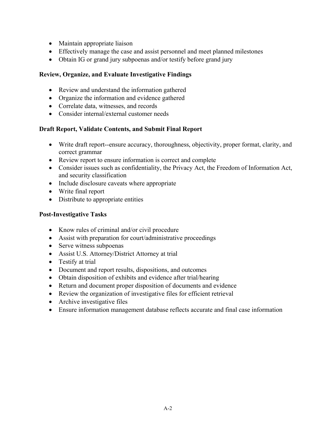- Maintain appropriate liaison
- Effectively manage the case and assist personnel and meet planned milestones
- Obtain IG or grand jury subpoenas and/or testify before grand jury

#### **Review, Organize, and Evaluate Investigative Findings**

- Review and understand the information gathered
- Organize the information and evidence gathered
- Correlate data, witnesses, and records
- Consider internal/external customer needs

#### **Draft Report, Validate Contents, and Submit Final Report**

- Write draft report--ensure accuracy, thoroughness, objectivity, proper format, clarity, and correct grammar
- Review report to ensure information is correct and complete
- Consider issues such as confidentiality, the Privacy Act, the Freedom of Information Act, and security classification
- Include disclosure caveats where appropriate
- Write final report
- Distribute to appropriate entities

#### **Post-Investigative Tasks**

- Know rules of criminal and/or civil procedure
- Assist with preparation for court/administrative proceedings
- $\bullet$  Serve witness subpoenas
- Assist U.S. Attorney/District Attorney at trial
- $\bullet$  Testify at trial
- Document and report results, dispositions, and outcomes
- Obtain disposition of exhibits and evidence after trial/hearing
- Return and document proper disposition of documents and evidence
- $\bullet$  Review the organization of investigative files for efficient retrieval
- Archive investigative files
- Ensure information management database reflects accurate and final case information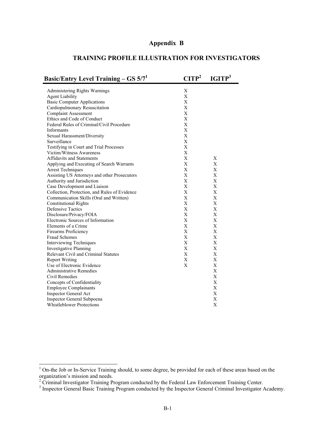#### **Appendix B**

#### **TRAINING PROFILE ILLUSTRATION FOR INVESTIGATORS**

| <b>Basic/Entry Level Training - GS <math>5/71</math></b> | CTIP <sup>2</sup> | IGITP <sup>3</sup> |
|----------------------------------------------------------|-------------------|--------------------|
| Administering Rights Warnings                            | X                 |                    |
| <b>Agent Liability</b>                                   | X                 |                    |
| <b>Basic Computer Applications</b>                       | X                 |                    |
| Cardiopulmonary Resuscitation                            | X                 |                    |
| <b>Complaint Assessment</b>                              | X                 |                    |
| Ethics and Code of Conduct                               | X                 |                    |
| Federal Rules of Criminal/Civil Procedure                | X                 |                    |
| Informants                                               | X                 |                    |
| Sexual Harassment/Diversity                              | X                 |                    |
| Surveillance                                             | X                 |                    |
| Testifying in Court and Trial Processes                  | X                 |                    |
| Victim/Witness Awareness                                 | X                 |                    |
| Affidavits and Statements                                | X                 | X                  |
| Applying and Executing of Search Warrants                | X                 | X                  |
| <b>Arrest Techniques</b>                                 | X                 | X                  |
| Assisting US Attorneys and other Prosecutors             | X                 | X                  |
| Authority and Jurisdiction                               | X                 | X                  |
| Case Development and Liaison                             | X                 | X                  |
| Collection, Protection, and Rules of Evidence            | X                 | X                  |
| Communication Skills (Oral and Written)                  | X                 | X                  |
| <b>Constitutional Rights</b>                             | X                 | X                  |
| <b>Defensive Tactics</b>                                 | X                 | X                  |
| Disclosure/Privacy/FOIA                                  | X                 | X                  |
| Electronic Sources of Information                        | X                 | X                  |
| Elements of a Crime                                      | X                 | X                  |
| Firearms Proficiency                                     | X                 | X                  |
| <b>Fraud Schemes</b>                                     | X                 | X                  |
| Interviewing Techniques                                  | X                 | X                  |
| <b>Investigative Planning</b>                            | X                 | X                  |
| Relevant Civil and Criminal Statutes                     | X                 | X                  |
| <b>Report Writing</b>                                    | X                 | X                  |
| Use of Electronic Evidence                               | X                 | X                  |
| <b>Administrative Remedies</b>                           |                   | X                  |
| Civil Remedies                                           |                   | X                  |
| Concepts of Confidentiality                              |                   | X                  |
| <b>Employee Complainants</b>                             |                   | X                  |
| Inspector General Act                                    |                   | X                  |
| <b>Inspector General Subpoena</b>                        |                   | X                  |
| <b>Whistleblower Protections</b>                         |                   | X                  |
|                                                          |                   |                    |

<span id="page-24-0"></span><sup>&</sup>lt;sup>1</sup> On-the Job or In-Service Training should, to some degree, be provided for each of these areas based on the organization's mission and needs.<br> $\frac{2}{3}$  Criminal Investigator Training B

<span id="page-24-2"></span>

<span id="page-24-1"></span><sup>&</sup>lt;sup>2</sup> Criminal Investigator Training Program conducted by the Federal Law Enforcement Training Center.<br><sup>3</sup> Inspector General Basic Training Program conducted by the Inspector General Criminal Investigator Academy.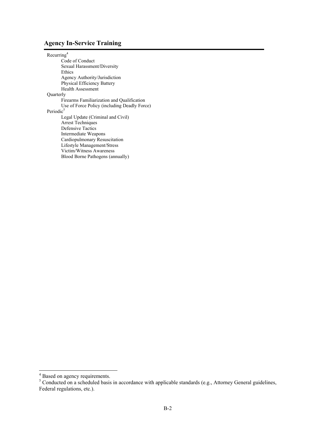#### **Agency In-Service Training**

Recurrin[g4](#page-25-0) Code of Conduct Sexual Harassment/Diversity Ethics Agency Authority/Jurisdiction Physical Efficiency Battery Health Assessment Quarterly Firearms Familiarization and Qualification Use of Force Policy (including Deadly Force) Periodic<sup>5</sup> Legal Update (Criminal and Civil) Arrest Techniques Defensive Tactics Intermediate Weapons Cardiopulmonary Resuscitation Lifestyle Management/Stress Victim/Witness Awareness Blood Borne Pathogens (annually)

<span id="page-25-1"></span><span id="page-25-0"></span>

<sup>&</sup>lt;sup>4</sup> Based on agency requirements.<br><sup>5</sup> Conducted on a scheduled basis in accordance with applicable standards (e.g., Attorney General guidelines, Federal regulations, etc.).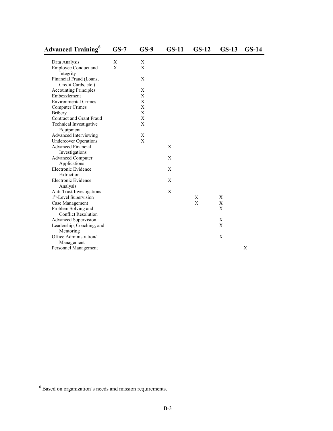| <b>Advanced Training</b> <sup>6</sup>             | $GS-7$ | $GS-9$                    | $GS-11$ | $GS-12$ | $GS-13$ | $GS-14$ |
|---------------------------------------------------|--------|---------------------------|---------|---------|---------|---------|
| Data Analysis                                     | X      | X                         |         |         |         |         |
| Employee Conduct and<br>Integrity                 | X      | $\mathbf{X}$              |         |         |         |         |
| Financial Fraud (Loans,<br>Credit Cards, etc.)    |        | X                         |         |         |         |         |
| <b>Accounting Principles</b>                      |        | X                         |         |         |         |         |
| Embezzlement                                      |        | X                         |         |         |         |         |
| <b>Environmental Crimes</b>                       |        | $\mathbf X$               |         |         |         |         |
| <b>Computer Crimes</b>                            |        | $\mathbf X$               |         |         |         |         |
| <b>Bribery</b>                                    |        | X                         |         |         |         |         |
| Contract and Grant Fraud                          |        | $\mathbf X$               |         |         |         |         |
| Technical Investigative<br>Equipment              |        | $\mathbf{X}$              |         |         |         |         |
| Advanced Interviewing                             |        | X                         |         |         |         |         |
| <b>Undercover Operations</b>                      |        | $\boldsymbol{\mathrm{X}}$ |         |         |         |         |
| <b>Advanced Financial</b><br>Investigations       |        |                           | X       |         |         |         |
| <b>Advanced Computer</b><br>Applications          |        |                           | X       |         |         |         |
| Electronic Evidence<br>Extraction                 |        |                           | X       |         |         |         |
| Electronic Evidence<br>Analysis                   |        |                           | X       |         |         |         |
| Anti-Trust Investigations                         |        |                           | X       |         |         |         |
| 1 <sup>st</sup> -Level Supervision                |        |                           |         | Χ       | X       |         |
| Case Management                                   |        |                           |         | X       | X       |         |
| Problem Solving and<br><b>Conflict Resolution</b> |        |                           |         |         | X       |         |
| Advanced Supervision                              |        |                           |         |         | Χ       |         |
| Leadership, Coaching, and                         |        |                           |         |         | X       |         |
| Mentoring                                         |        |                           |         |         |         |         |
| Office Administration/                            |        |                           |         |         | X       |         |
|                                                   |        |                           |         |         |         |         |
| Management<br>Personnel Management                |        |                           |         |         |         | X       |
|                                                   |        |                           |         |         |         |         |

<span id="page-26-0"></span><sup>&</sup>lt;sup>6</sup> Based on organization's needs and mission requirements.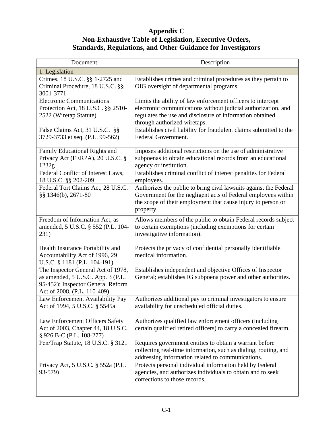## **Appendix C Non-Exhaustive Table of Legislation, Executive Orders, Standards, Regulations, and Other Guidance for Investigators**

| Document                                                                                                                                    | Description                                                                                                                                                                                                              |
|---------------------------------------------------------------------------------------------------------------------------------------------|--------------------------------------------------------------------------------------------------------------------------------------------------------------------------------------------------------------------------|
| 1. Legislation                                                                                                                              |                                                                                                                                                                                                                          |
| Crimes, 18 U.S.C. §§ 1-2725 and<br>Criminal Procedure, 18 U.S.C. §§<br>3001-3771                                                            | Establishes crimes and criminal procedures as they pertain to<br>OIG oversight of departmental programs.                                                                                                                 |
| <b>Electronic Communications</b><br>Protection Act, 18 U.S.C. §§ 2510-<br>2522 (Wiretap Statute)                                            | Limits the ability of law enforcement officers to intercept<br>electronic communications without judicial authorization, and<br>regulates the use and disclosure of information obtained<br>through authorized wiretaps. |
| False Claims Act, 31 U.S.C. §§<br>3729-3733 et seq. (P.L. 99-562)                                                                           | Establishes civil liability for fraudulent claims submitted to the<br>Federal Government.                                                                                                                                |
| Family Educational Rights and<br>Privacy Act (FERPA), 20 U.S.C. §<br>1232g                                                                  | Imposes additional restrictions on the use of administrative<br>subpoenas to obtain educational records from an educational<br>agency or institution.                                                                    |
| Federal Conflict of Interest Laws,<br>18 U.S.C. §§ 202-209                                                                                  | Establishes criminal conflict of interest penalties for Federal<br>employees.                                                                                                                                            |
| Federal Tort Claims Act, 28 U.S.C.<br>§§ 1346(b), 2671-80                                                                                   | Authorizes the public to bring civil lawsuits against the Federal<br>Government for the negligent acts of Federal employees within<br>the scope of their employment that cause injury to person or<br>property.          |
| Freedom of Information Act, as<br>amended, 5 U.S.C. § 552 (P.L. 104-<br>231)                                                                | Allows members of the public to obtain Federal records subject<br>to certain exemptions (including exemptions for certain<br>investigative information).                                                                 |
| Health Insurance Portability and<br>Accountability Act of 1996, 29<br>U.S.C. § 1181 (P.L. 104-191)                                          | Protects the privacy of confidential personally identifiable<br>medical information.                                                                                                                                     |
| The Inspector General Act of 1978,<br>as amended, 5 U.S.C. App. 3 (P.L.<br>95-452); Inspector General Reform<br>Act of 2008, (P.L. 110-409) | Establishes independent and objective Offices of Inspector<br>General; establishes IG subpoena power and other authorities.                                                                                              |
| Law Enforcement Availability Pay<br>Act of 1994, 5 U.S.C. § 5545a                                                                           | Authorizes additional pay to criminal investigators to ensure<br>availability for unscheduled official duties.                                                                                                           |
| Law Enforcement Officers Safety<br>Act of 2003, Chapter 44, 18 U.S.C.<br>§ 926 B-C (P.L. 108-277)                                           | Authorizes qualified law enforcement officers (including<br>certain qualified retired officers) to carry a concealed firearm.                                                                                            |
| Pen/Trap Statute, 18 U.S.C. § 3121                                                                                                          | Requires government entities to obtain a warrant before<br>collecting real-time information, such as dialing, routing, and<br>addressing information related to communications.                                          |
| Privacy Act, 5 U.S.C. § 552a (P.L.<br>93-579)                                                                                               | Protects personal individual information held by Federal<br>agencies, and authorizes individuals to obtain and to seek<br>corrections to those records.                                                                  |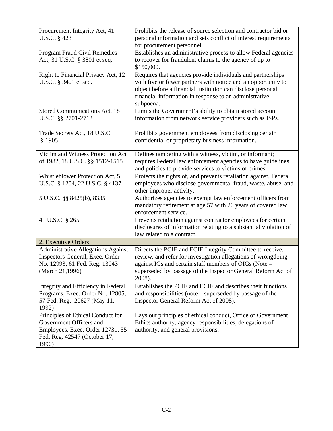| Procurement Integrity Act, 41<br>U.S.C. § 423                                                                                             | Prohibits the release of source selection and contractor bid or<br>personal information and sets conflict of interest requirements<br>for procurement personnel.                                                                                                   |
|-------------------------------------------------------------------------------------------------------------------------------------------|--------------------------------------------------------------------------------------------------------------------------------------------------------------------------------------------------------------------------------------------------------------------|
| Program Fraud Civil Remedies<br>Act, 31 U.S.C. § 3801 et seq.                                                                             | Establishes an administrative process to allow Federal agencies<br>to recover for fraudulent claims to the agency of up to<br>\$150,000.                                                                                                                           |
| Right to Financial Privacy Act, 12<br>U.S.C. § 3401 et seq.                                                                               | Requires that agencies provide individuals and partnerships<br>with five or fewer partners with notice and an opportunity to<br>object before a financial institution can disclose personal<br>financial information in response to an administrative<br>subpoena. |
| Stored Communications Act, 18<br>U.S.C. §§ 2701-2712                                                                                      | Limits the Government's ability to obtain stored account<br>information from network service providers such as ISPs.                                                                                                                                               |
| Trade Secrets Act, 18 U.S.C.<br>\$1905                                                                                                    | Prohibits government employees from disclosing certain<br>confidential or proprietary business information.                                                                                                                                                        |
| Victim and Witness Protection Act<br>of 1982, 18 U.S.C. §§ 1512-1515                                                                      | Defines tampering with a witness, victim, or informant;<br>requires Federal law enforcement agencies to have guidelines<br>and policies to provide services to victims of crimes.                                                                                  |
| Whistleblower Protection Act, 5<br>U.S.C. § 1204, 22 U.S.C. § 4137                                                                        | Protects the rights of, and prevents retaliation against, Federal<br>employees who disclose governmental fraud, waste, abuse, and<br>other improper activity.                                                                                                      |
| 5 U.S.C. §§ 8425(b), 8335                                                                                                                 | Authorizes agencies to exempt law enforcement officers from<br>mandatory retirement at age 57 with 20 years of covered law<br>enforcement service.                                                                                                                 |
| 41 U.S.C. § 265                                                                                                                           | Prevents retaliation against contractor employees for certain<br>disclosures of information relating to a substantial violation of<br>law related to a contract.                                                                                                   |
| 2. Executive Orders                                                                                                                       |                                                                                                                                                                                                                                                                    |
| <b>Administrative Allegations Against</b><br>Inspectors General, Exec. Order<br>No. 12993, 61 Fed. Reg. 13043<br>(March 21,1996)          | Directs the PCIE and ECIE Integrity Committee to receive,<br>review, and refer for investigation allegations of wrongdoing<br>against IGs and certain staff members of OIGs (Note -<br>superseded by passage of the Inspector General Reform Act of<br>2008).      |
| Integrity and Efficiency in Federal<br>Programs, Exec. Order No. 12805,<br>57 Fed. Reg. 20627 (May 11,<br>1992)                           | Establishes the PCIE and ECIE and describes their functions<br>and responsibilities (note—superseded by passage of the<br>Inspector General Reform Act of 2008).                                                                                                   |
| Principles of Ethical Conduct for<br>Government Officers and<br>Employees, Exec. Order 12731, 55<br>Fed. Reg. 42547 (October 17,<br>1990) | Lays out principles of ethical conduct, Office of Government<br>Ethics authority, agency responsibilities, delegations of<br>authority, and general provisions.                                                                                                    |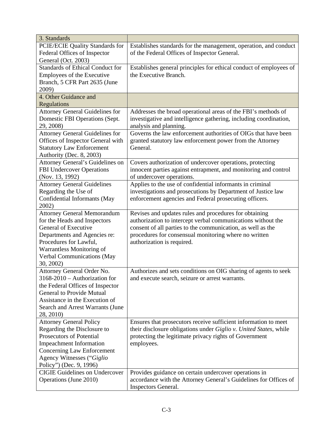| 3. Standards                                  |                                                                    |
|-----------------------------------------------|--------------------------------------------------------------------|
| PCIE/ECIE Quality Standards for               | Establishes standards for the management, operation, and conduct   |
| Federal Offices of Inspector                  | of the Federal Offices of Inspector General.                       |
| General (Oct. 2003)                           |                                                                    |
| <b>Standards of Ethical Conduct for</b>       | Establishes general principles for ethical conduct of employees of |
| <b>Employees of the Executive</b>             | the Executive Branch.                                              |
| Branch, 5 CFR Part 2635 (June                 |                                                                    |
| 2009)                                         |                                                                    |
| 4. Other Guidance and                         |                                                                    |
| Regulations                                   |                                                                    |
| <b>Attorney General Guidelines for</b>        | Addresses the broad operational areas of the FBI's methods of      |
| Domestic FBI Operations (Sept.                | investigative and intelligence gathering, including coordination,  |
| 29, 2008)                                     | analysis and planning.                                             |
| <b>Attorney General Guidelines for</b>        | Governs the law enforcement authorities of OIGs that have been     |
| Offices of Inspector General with             | granted statutory law enforcement power from the Attorney          |
| <b>Statutory Law Enforcement</b>              | General.                                                           |
| Authority (Dec. 8, 2003)                      |                                                                    |
| Attorney General's Guidelines on              | Covers authorization of undercover operations, protecting          |
| <b>FBI Undercover Operations</b>              | innocent parties against entrapment, and monitoring and control    |
| (Nov. 13, 1992)                               | of undercover operations.                                          |
| <b>Attorney General Guidelines</b>            | Applies to the use of confidential informants in criminal          |
| Regarding the Use of                          | investigations and prosecutions by Department of Justice law       |
| Confidential Informants (May                  | enforcement agencies and Federal prosecuting officers.             |
| 2002)                                         |                                                                    |
| <b>Attorney General Memorandum</b>            | Revises and updates rules and procedures for obtaining             |
| for the Heads and Inspectors                  | authorization to intercept verbal communications without the       |
| General of Executive                          | consent of all parties to the communication, as well as the        |
| Departments and Agencies re:                  | procedures for consensual monitoring where no written              |
| Procedures for Lawful,                        | authorization is required.                                         |
| Warrantless Monitoring of                     |                                                                    |
| <b>Verbal Communications (May</b>             |                                                                    |
| 30, 2002)                                     |                                                                    |
| Attorney General Order No.                    | Authorizes and sets conditions on OIG sharing of agents to seek    |
| 3168-2010 - Authorization for                 | and execute search, seizure or arrest warrants.                    |
| the Federal Offices of Inspector              |                                                                    |
| <b>General to Provide Mutual</b>              |                                                                    |
| Assistance in the Execution of                |                                                                    |
| Search and Arrest Warrants (June<br>28, 2010) |                                                                    |
| <b>Attorney General Policy</b>                | Ensures that prosecutors receive sufficient information to meet    |
| Regarding the Disclosure to                   | their disclosure obligations under Giglio v. United States, while  |
| <b>Prosecutors of Potential</b>               | protecting the legitimate privacy rights of Government             |
| <b>Impeachment Information</b>                | employees.                                                         |
| Concerning Law Enforcement                    |                                                                    |
| Agency Witnesses ("Giglio                     |                                                                    |
| Policy") (Dec. 9, 1996)                       |                                                                    |
| <b>CIGIE Guidelines on Undercover</b>         | Provides guidance on certain undercover operations in              |
| Operations (June 2010)                        | accordance with the Attorney General's Guidelines for Offices of   |
|                                               | <b>Inspectors General.</b>                                         |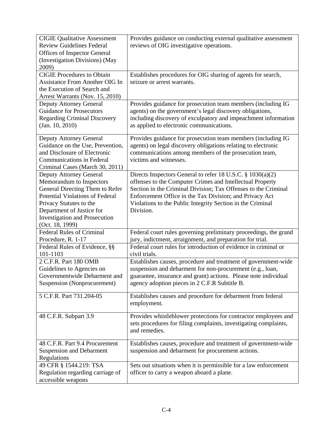| <b>CIGIE Qualitative Assessment</b><br><b>Review Guidelines Federal</b><br><b>Offices of Inspector General</b><br>(Investigation Divisions) (May<br>2009)                                                                                                  | Provides guidance on conducting external qualitative assessment<br>reviews of OIG investigative operations.                                                                                                                                                                                                                     |
|------------------------------------------------------------------------------------------------------------------------------------------------------------------------------------------------------------------------------------------------------------|---------------------------------------------------------------------------------------------------------------------------------------------------------------------------------------------------------------------------------------------------------------------------------------------------------------------------------|
| <b>CIGIE Procedures to Obtain</b><br><b>Assistance From Another OIG In</b><br>the Execution of Search and<br>Arrest Warrants (Nov. 15, 2010)                                                                                                               | Establishes procedures for OIG sharing of agents for search,<br>seizure or arrest warrants.                                                                                                                                                                                                                                     |
| <b>Deputy Attorney General</b><br><b>Guidance for Prosecutors</b><br><b>Regarding Criminal Discovery</b><br>(Jan. 10, 2010)                                                                                                                                | Provides guidance for prosecution team members (including IG<br>agents) on the government's legal discovery obligations,<br>including discovery of exculpatory and impeachment information<br>as applied to electronic communications.                                                                                          |
| Deputy Attorney General<br>Guidance on the Use, Prevention,<br>and Disclosure of Electronic<br><b>Communications in Federal</b><br>Criminal Cases (March 30, 2011)                                                                                         | Provides guidance for prosecution team members (including IG<br>agents) on legal discovery obligations relating to electronic<br>communications among members of the prosecution team,<br>victims and witnesses.                                                                                                                |
| <b>Deputy Attorney General</b><br>Memorandum to Inspectors<br>General Directing Them to Refer<br><b>Potential Violations of Federal</b><br>Privacy Statutes to the<br>Department of Justice for<br><b>Investigation and Prosecution</b><br>(Oct. 18, 1999) | Directs Inspectors General to refer 18 U.S.C. § 1030(a)(2)<br>offenses to the Computer Crimes and Intellectual Property<br>Section in the Criminal Division; Tax Offenses to the Criminal<br>Enforcement Office in the Tax Division; and Privacy Act<br>Violations to the Public Integrity Section in the Criminal<br>Division. |
| <b>Federal Rules of Criminal</b><br>Procedure, R. 1-17                                                                                                                                                                                                     | Federal court rules governing preliminary proceedings, the grand<br>jury, indictment, arraignment, and preparation for trial.                                                                                                                                                                                                   |
| Federal Rules of Evidence, §§<br>101-1103                                                                                                                                                                                                                  | Federal court rules for introduction of evidence in criminal or<br>civil trials.                                                                                                                                                                                                                                                |
| 2 C.F.R. Part 180 OMB<br>Guidelines to Agencies on<br>Governmentwide Debarment and<br>Suspension (Nonprocurement)                                                                                                                                          | Establishes causes, procedure and treatment of government-wide<br>suspension and debarment for non-procurement (e.g., loan,<br>guarantee, insurance and grant) actions. Please note individual<br>agency adoption pieces in 2 C.F.R Subtitle B.                                                                                 |
| 5 C.F.R. Part 731.204-05                                                                                                                                                                                                                                   | Establishes causes and procedure for debarment from federal<br>employment.                                                                                                                                                                                                                                                      |
| 48 C.F.R. Subpart 3.9                                                                                                                                                                                                                                      | Provides whistleblower protections for contractor employees and<br>sets procedures for filing complaints, investigating complaints,<br>and remedies.                                                                                                                                                                            |
| 48 C.F.R. Part 9.4 Procurement<br><b>Suspension and Debarment</b><br>Regulations                                                                                                                                                                           | Establishes causes, procedure and treatment of government-wide<br>suspension and debarment for procurement actions.                                                                                                                                                                                                             |
| 49 CFR § 1544.219: TSA<br>Regulation regarding carriage of<br>accessible weapons                                                                                                                                                                           | Sets out situations when it is permissible for a law enforcement<br>officer to carry a weapon aboard a plane.                                                                                                                                                                                                                   |